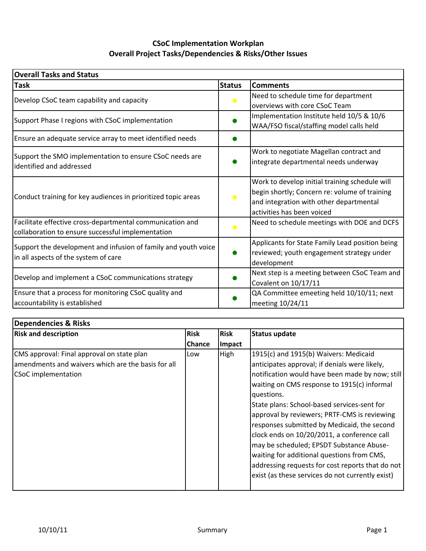## **CSoC Implementation Workplan Overall Project Tasks/Dependencies & Risks/Other Issues**

| <b>Overall Tasks and Status</b>                                                                        |               |                                                 |  |  |
|--------------------------------------------------------------------------------------------------------|---------------|-------------------------------------------------|--|--|
| <b>Task</b>                                                                                            | <b>Status</b> | <b>Comments</b>                                 |  |  |
| Develop CSoC team capability and capacity                                                              |               | Need to schedule time for department            |  |  |
|                                                                                                        | $\bullet$     | overviews with core CSoC Team                   |  |  |
| Support Phase I regions with CSoC implementation                                                       |               | Implementation Institute held 10/5 & 10/6       |  |  |
|                                                                                                        |               | WAA/FSO fiscal/staffing model calls held        |  |  |
| Ensure an adequate service array to meet identified needs                                              |               |                                                 |  |  |
| Support the SMO implementation to ensure CSoC needs are                                                |               | Work to negotiate Magellan contract and         |  |  |
| identified and addressed                                                                               |               | integrate departmental needs underway           |  |  |
|                                                                                                        |               |                                                 |  |  |
|                                                                                                        | $\bullet$     | Work to develop initial training schedule will  |  |  |
| Conduct training for key audiences in prioritized topic areas                                          |               | begin shortly; Concern re: volume of training   |  |  |
|                                                                                                        |               | and integration with other departmental         |  |  |
|                                                                                                        |               | activities has been voiced                      |  |  |
| Facilitate effective cross-departmental communication and                                              | $\bullet$     | Need to schedule meetings with DOE and DCFS     |  |  |
| collaboration to ensure successful implementation                                                      |               |                                                 |  |  |
| Support the development and infusion of family and youth voice<br>in all aspects of the system of care |               | Applicants for State Family Lead position being |  |  |
|                                                                                                        |               | reviewed; youth engagement strategy under       |  |  |
|                                                                                                        |               | development                                     |  |  |
| Develop and implement a CSoC communications strategy                                                   |               | Next step is a meeting between CSoC Team and    |  |  |
|                                                                                                        |               | Covalent on 10/17/11                            |  |  |
| Ensure that a process for monitoring CSoC quality and                                                  |               | QA Committee emeeting held 10/10/11; next       |  |  |
| accountability is established                                                                          |               | meeting 10/24/11                                |  |  |

| Dependencies & Risks |             |                                                                                                                                                                                                                                                                                                                                                                                                                                                                                                                                                                                                       |  |  |  |
|----------------------|-------------|-------------------------------------------------------------------------------------------------------------------------------------------------------------------------------------------------------------------------------------------------------------------------------------------------------------------------------------------------------------------------------------------------------------------------------------------------------------------------------------------------------------------------------------------------------------------------------------------------------|--|--|--|
| <b>Risk</b>          | <b>Risk</b> | <b>Status update</b>                                                                                                                                                                                                                                                                                                                                                                                                                                                                                                                                                                                  |  |  |  |
| Chance               | Impact      |                                                                                                                                                                                                                                                                                                                                                                                                                                                                                                                                                                                                       |  |  |  |
| Low                  | High        | 1915(c) and 1915(b) Waivers: Medicaid<br>anticipates approval; if denials were likely,<br>notification would have been made by now; still<br>waiting on CMS response to 1915(c) informal<br>questions.<br>State plans: School-based services-sent for<br>approval by reviewers; PRTF-CMS is reviewing<br>responses submitted by Medicaid, the second<br>clock ends on 10/20/2011, a conference call<br>may be scheduled; EPSDT Substance Abuse-<br>waiting for additional questions from CMS,<br>addressing requests for cost reports that do not<br>exist (as these services do not currently exist) |  |  |  |
|                      |             |                                                                                                                                                                                                                                                                                                                                                                                                                                                                                                                                                                                                       |  |  |  |